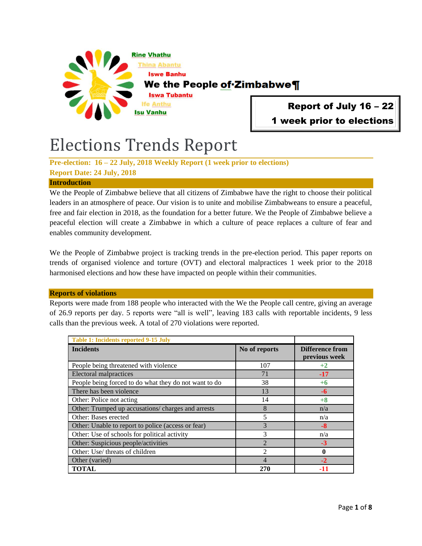

Report of July 16 – 22 1 week prior to elections

# Elections Trends Report

**Pre-election: 16 – 22 July, 2018 Weekly Report (1 week prior to elections) Report Date: 24 July, 2018**

## **Introduction**

We the People of Zimbabwe believe that all citizens of Zimbabwe have the right to choose their political leaders in an atmosphere of peace. Our vision is to unite and mobilise Zimbabweans to ensure a peaceful, free and fair election in 2018, as the foundation for a better future. We the People of Zimbabwe believe a peaceful election will create a Zimbabwe in which a culture of peace replaces a culture of fear and enables community development.

We the People of Zimbabwe project is tracking trends in the pre-election period. This paper reports on trends of organised violence and torture (OVT) and electoral malpractices 1 week prior to the 2018 harmonised elections and how these have impacted on people within their communities.

## **Reports of violations**

Reports were made from 188 people who interacted with the We the People call centre, giving an average of 26.9 reports per day. 5 reports were "all is well", leaving 183 calls with reportable incidents, 9 less calls than the previous week. A total of 270 violations were reported.

| <b>Table 1: Incidents reported 9-15 July</b>          |                |                                         |
|-------------------------------------------------------|----------------|-----------------------------------------|
| <b>Incidents</b>                                      | No of reports  | <b>Difference from</b><br>previous week |
| People being threatened with violence                 | 107            | $+2$                                    |
| Electoral malpractices                                | 71             | $-17$                                   |
| People being forced to do what they do not want to do | 38             | $+6$                                    |
| There has been violence                               | 13             | -6                                      |
| Other: Police not acting                              | 14             | $+8$                                    |
| Other: Trumped up accusations/ charges and arrests    | 8              | n/a                                     |
| Other: Bases erected                                  | 5              | n/a                                     |
| Other: Unable to report to police (access or fear)    | 3              | $-8$                                    |
| Other: Use of schools for political activity          | 3              | n/a                                     |
| Other: Suspicious people/activities                   | $\overline{2}$ | $-3$                                    |
| Other: Use/ threats of children                       | $\mathfrak{D}$ | 0                                       |
| Other (varied)                                        | 4              | $-2$                                    |
| <b>TOTAL</b>                                          | 270            |                                         |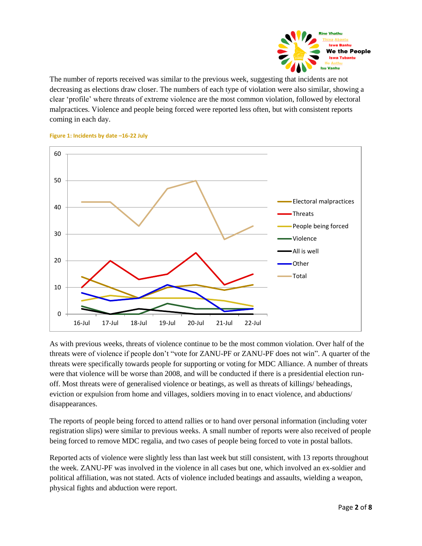

The number of reports received was similar to the previous week, suggesting that incidents are not decreasing as elections draw closer. The numbers of each type of violation were also similar, showing a clear "profile" where threats of extreme violence are the most common violation, followed by electoral malpractices. Violence and people being forced were reported less often, but with consistent reports coming in each day.



### **Figure 1: Incidents by date –16-22 July**

As with previous weeks, threats of violence continue to be the most common violation. Over half of the threats were of violence if people don"t "vote for ZANU-PF or ZANU-PF does not win". A quarter of the threats were specifically towards people for supporting or voting for MDC Alliance. A number of threats were that violence will be worse than 2008, and will be conducted if there is a presidential election runoff. Most threats were of generalised violence or beatings, as well as threats of killings/ beheadings, eviction or expulsion from home and villages, soldiers moving in to enact violence, and abductions/ disappearances.

The reports of people being forced to attend rallies or to hand over personal information (including voter registration slips) were similar to previous weeks. A small number of reports were also received of people being forced to remove MDC regalia, and two cases of people being forced to vote in postal ballots.

Reported acts of violence were slightly less than last week but still consistent, with 13 reports throughout the week. ZANU-PF was involved in the violence in all cases but one, which involved an ex-soldier and political affiliation, was not stated. Acts of violence included beatings and assaults, wielding a weapon, physical fights and abduction were report.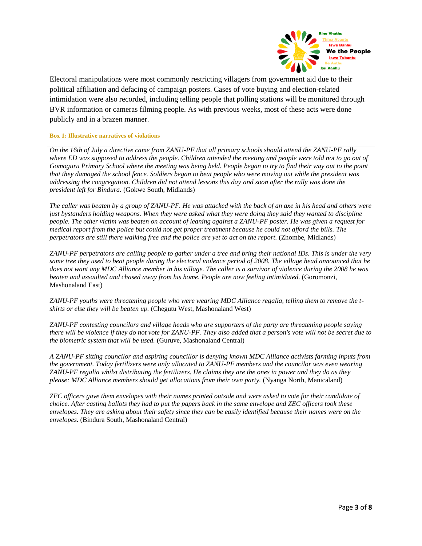

Electoral manipulations were most commonly restricting villagers from government aid due to their political affiliation and defacing of campaign posters. Cases of vote buying and election-related intimidation were also recorded, including telling people that polling stations will be monitored through BVR information or cameras filming people. As with previous weeks, most of these acts were done publicly and in a brazen manner.

## **Box 1: Illustrative narratives of violations**

*On the 16th of July a directive came from ZANU-PF that all primary schools should attend the ZANU-PF rally where ED was supposed to address the people. Children attended the meeting and people were told not to go out of Gomoguru Primary School where the meeting was being held. People began to try to find their way out to the point that they damaged the school fence. Soldiers began to beat people who were moving out while the president was addressing the congregation. Children did not attend lessons this day and soon after the rally was done the president left for Bindura.* (Gokwe South, Midlands)

*The caller was beaten by a group of ZANU-PF. He was attacked with the back of an axe in his head and others were just bystanders holding weapons. When they were asked what they were doing they said they wanted to discipline people. The other victim was beaten on account of leaning against a ZANU-PF poster. He was given a request for medical report from the police but could not get proper treatment because he could not afford the bills. The perpetrators are still there walking free and the police are yet to act on the report.* (Zhombe, Midlands)

*ZANU-PF perpetrators are calling people to gather under a tree and bring their national IDs. This is under the very same tree they used to beat people during the electoral violence period of 2008. The village head announced that he does not want any MDC Alliance member in his village. The caller is a survivor of violence during the 2008 he was beaten and assaulted and chased away from his home. People are now feeling intimidated.* (Goromonzi, Mashonaland East)

*ZANU-PF youths were threatening people who were wearing MDC Alliance regalia, telling them to remove the tshirts or else they will be beaten up.* (Chegutu West, Mashonaland West)

*ZANU-PF contesting councilors and village heads who are supporters of the party are threatening people saying there will be violence if they do not vote for ZANU-PF. They also added that a person's vote will not be secret due to the biometric system that will be used.* (Guruve, Mashonaland Central)

*A ZANU-PF sitting councilor and aspiring councillor is denying known MDC Alliance activists farming inputs from the government. Today fertilizers were only allocated to ZANU-PF members and the councilor was even wearing ZANU-PF regalia whilst distributing the fertilizers. He claims they are the ones in power and they do as they please: MDC Alliance members should get allocations from their own party.* (Nyanga North, Manicaland)

*ZEC officers gave them envelopes with their names printed outside and were asked to vote for their candidate of choice. After casting ballots they had to put the papers back in the same envelope and ZEC officers took these envelopes. They are asking about their safety since they can be easily identified because their names were on the envelopes.* (Bindura South, Mashonaland Central)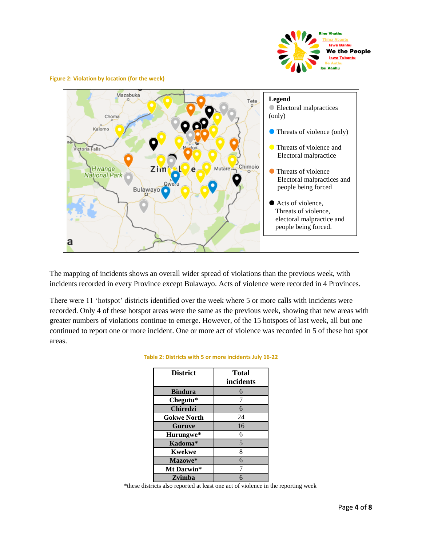

**Figure 2: Violation by location (for the week)**



The mapping of incidents shows an overall wider spread of violations than the previous week, with incidents recorded in every Province except Bulawayo. Acts of violence were recorded in 4 Provinces.

There were 11 'hotspot' districts identified over the week where 5 or more calls with incidents were recorded. Only 4 of these hotspot areas were the same as the previous week, showing that new areas with greater numbers of violations continue to emerge. However, of the 15 hotspots of last week, all but one continued to report one or more incident. One or more act of violence was recorded in 5 of these hot spot areas.

| <b>District</b>    | <b>Total</b><br>incidents |
|--------------------|---------------------------|
| <b>Bindura</b>     | 6                         |
| Chegutu*           | 7                         |
| <b>Chiredzi</b>    | 6                         |
| <b>Gokwe North</b> | 24                        |
| <b>Guruve</b>      | 16                        |
| Hurungwe*          | 6                         |
| Kadoma*            | 5                         |
| <b>Kwekwe</b>      | 8                         |
| Mazowe*            | 6                         |
| Mt Darwin*         |                           |
| Zvimba             | 6                         |

## **Table 2: Districts with 5 or more incidents July 16-22**

\*these districts also reported at least one act of violence in the reporting week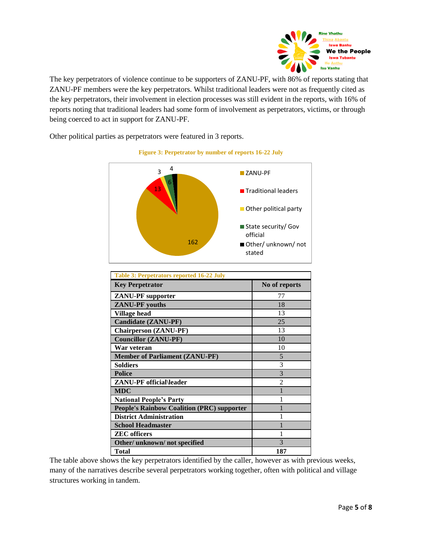

The key perpetrators of violence continue to be supporters of ZANU-PF, with 86% of reports stating that ZANU-PF members were the key perpetrators. Whilst traditional leaders were not as frequently cited as the key perpetrators, their involvement in election processes was still evident in the reports, with 16% of reports noting that traditional leaders had some form of involvement as perpetrators, victims, or through being coerced to act in support for ZANU-PF.

Other political parties as perpetrators were featured in 3 reports.



## **Figure 3: Perpetrator by number of reports 16-22 July**

| <b>Table 3: Perpetrators reported 16-22 July</b>  |                |  |  |
|---------------------------------------------------|----------------|--|--|
| <b>Key Perpetrator</b>                            | No of reports  |  |  |
| <b>ZANU-PF</b> supporter                          | 77             |  |  |
| <b>ZANU-PF</b> youths                             | 18             |  |  |
| <b>Village head</b>                               | 13             |  |  |
| Candidate (ZANU-PF)                               | 25             |  |  |
| <b>Chairperson</b> ( <b>ZANU-PF</b> )             | 13             |  |  |
| <b>Councillor (ZANU-PF)</b>                       | 10             |  |  |
| War veteran                                       | 10             |  |  |
| <b>Member of Parliament (ZANU-PF)</b>             | 5              |  |  |
| <b>Soldiers</b>                                   | 3              |  |  |
| <b>Police</b>                                     | 3              |  |  |
| ZANU-PF official\leader                           | $\mathfrak{D}$ |  |  |
| <b>MDC</b>                                        |                |  |  |
| <b>National People's Party</b>                    |                |  |  |
| <b>People's Rainbow Coalition (PRC) supporter</b> |                |  |  |
| <b>District Administration</b>                    |                |  |  |
| <b>School Headmaster</b>                          |                |  |  |
| <b>ZEC</b> officers                               | 1              |  |  |
| Other/unknown/not specified                       | 3              |  |  |
| Total                                             | 187            |  |  |

The table above shows the key perpetrators identified by the caller, however as with previous weeks, many of the narratives describe several perpetrators working together, often with political and village structures working in tandem.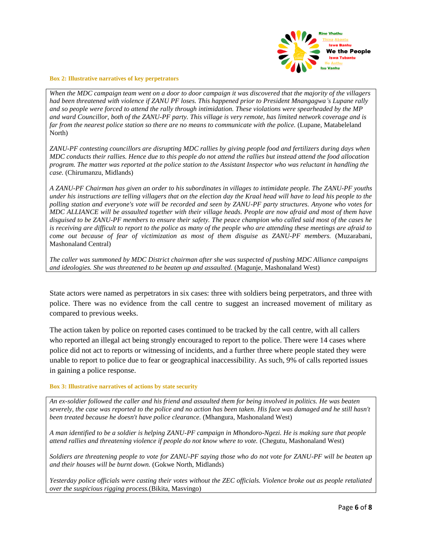

#### **Box 2: Illustrative narratives of key perpetrators**

*When the MDC campaign team went on a door to door campaign it was discovered that the majority of the villagers had been threatened with violence if ZANU PF loses. This happened prior to President Mnangagwa's Lupane rally and so people were forced to attend the rally through intimidation. These violations were spearheaded by the MP and ward Councillor, both of the ZANU-PF party. This village is very remote, has limited network coverage and is* far from the nearest police station so there are no means to communicate with the police. (Lupane, Matabeleland North)

*ZANU-PF contesting councillors are disrupting MDC rallies by giving people food and fertilizers during days when MDC conducts their rallies. Hence due to this people do not attend the rallies but instead attend the food allocation program. The matter was reported at the police station to the Assistant Inspector who was reluctant in handling the case.* (Chirumanzu, Midlands)

*A ZANU-PF Chairman has given an order to his subordinates in villages to intimidate people. The ZANU-PF youths under his instructions are telling villagers that on the election day the Kraal head will have to lead his people to the polling station and everyone's vote will be recorded and seen by ZANU-PF party structures. Anyone who votes for MDC ALLIANCE will be assaulted together with their village heads. People are now afraid and most of them have disguised to be ZANU-PF members to ensure their safety. The peace champion who called said most of the cases he is receiving are difficult to report to the police as many of the people who are attending these meetings are afraid to come out because of fear of victimization as most of them disguise as ZANU-PF members.* (Muzarabani, Mashonaland Central)

*The caller was summoned by MDC District chairman after she was suspected of pushing MDC Alliance campaigns and ideologies. She was threatened to be beaten up and assaulted.* (Magunje, Mashonaland West)

State actors were named as perpetrators in six cases: three with soldiers being perpetrators, and three with police. There was no evidence from the call centre to suggest an increased movement of military as compared to previous weeks.

The action taken by police on reported cases continued to be tracked by the call centre, with all callers who reported an illegal act being strongly encouraged to report to the police. There were 14 cases where police did not act to reports or witnessing of incidents, and a further three where people stated they were unable to report to police due to fear or geographical inaccessibility. As such, 9% of calls reported issues in gaining a police response.

## **Box 3: Illustrative narratives of actions by state security**

*An ex-soldier followed the caller and his friend and assaulted them for being involved in politics. He was beaten severely, the case was reported to the police and no action has been taken. His face was damaged and he still hasn't been treated because he doesn't have police clearance.* (Mhangura, Mashonaland West)

*A man identified to be a soldier is helping ZANU-PF campaign in Mhondoro-Ngezi. He is making sure that people attend rallies and threatening violence if people do not know where to vote.* (Chegutu, Mashonaland West)

*Soldiers are threatening people to vote for ZANU-PF saying those who do not vote for ZANU-PF will be beaten up and their houses will be burnt down.* (Gokwe North, Midlands)

*Yesterday police officials were casting their votes without the ZEC officials. Violence broke out as people retaliated over the suspicious rigging process.*(Bikita, Masvingo)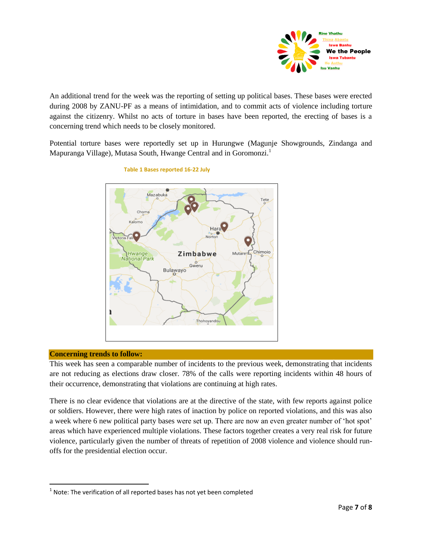

An additional trend for the week was the reporting of setting up political bases. These bases were erected during 2008 by ZANU-PF as a means of intimidation, and to commit acts of violence including torture against the citizenry. Whilst no acts of torture in bases have been reported, the erecting of bases is a concerning trend which needs to be closely monitored.

Potential torture bases were reportedly set up in Hurungwe (Magunje Showgrounds, Zindanga and Mapuranga Village), Mutasa South, Hwange Central and in Goromonzi.<sup>1</sup>



## **Table 1 Bases reported 16-22 July**

## **Concerning trends to follow:**

 $\overline{\phantom{a}}$ 

This week has seen a comparable number of incidents to the previous week, demonstrating that incidents are not reducing as elections draw closer. 78% of the calls were reporting incidents within 48 hours of their occurrence, demonstrating that violations are continuing at high rates.

There is no clear evidence that violations are at the directive of the state, with few reports against police or soldiers. However, there were high rates of inaction by police on reported violations, and this was also a week where 6 new political party bases were set up. There are now an even greater number of "hot spot" areas which have experienced multiple violations. These factors together creates a very real risk for future violence, particularly given the number of threats of repetition of 2008 violence and violence should runoffs for the presidential election occur.

 $<sup>1</sup>$  Note: The verification of all reported bases has not yet been completed</sup>